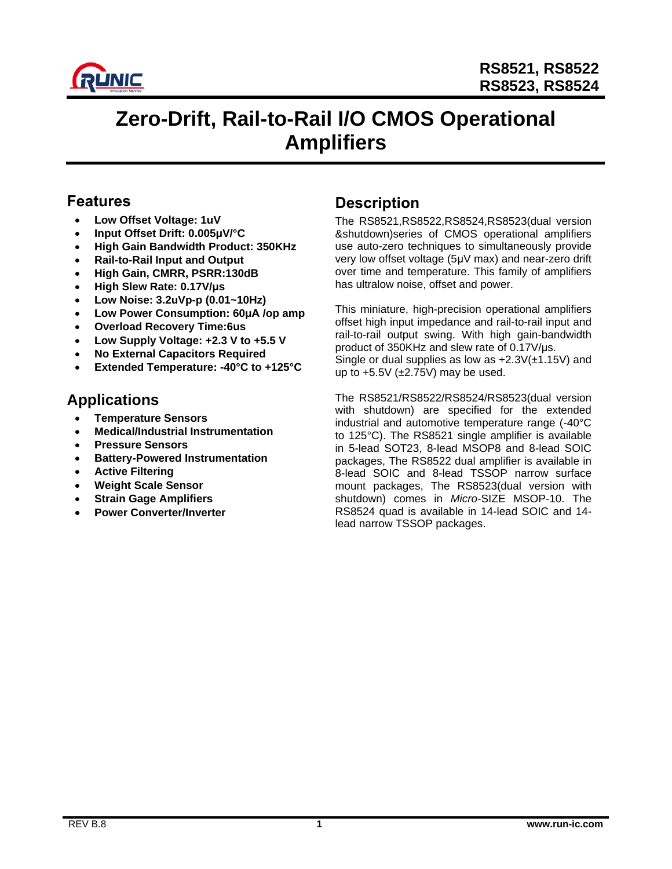

## **Zero-Drift, Rail-to-Rail I/O CMOS Operational Amplifiers**

### **Features**

- **Low Offset Voltage: 1uV**
- **Input Offset Drift: 0.005μV/°C**
- **High Gain Bandwidth Product: 350KHz**
- **Rail-to-Rail Input and Output**
- **High Gain, CMRR, PSRR:130dB**
- **High Slew Rate: 0.17V/μs**
- **Low Noise: 3.2uVp-p (0.01~10Hz)**
- **Low Power Consumption: 60μA /op amp**
- **Overload Recovery Time:6us**
- **Low Supply Voltage: +2.3 V to +5.5 V**
- **No External Capacitors Required**
- **Extended Temperature: -40°C to +125°C**

## **Applications**

- **Temperature Sensors**
- **Medical/Industrial Instrumentation**
- **Pressure Sensors**
- **Battery-Powered Instrumentation**
- **Active Filtering**
- **Weight Scale Sensor**
- **Strain Gage Amplifiers**
- **Power Converter/Inverter**

## **Description**

The RS8521,RS8522,RS8524,RS8523(dual version &shutdown)series of CMOS operational amplifiers use auto-zero techniques to simultaneously provide very low offset voltage (5μV max) and near-zero drift over time and temperature. This family of amplifiers has ultralow noise, offset and power.

This miniature, high-precision operational amplifiers offset high input impedance and rail-to-rail input and rail-to-rail output swing. With high gain-bandwidth product of 350KHz and slew rate of 0.17V/μs. Single or dual supplies as low as  $+2.3V(\pm 1.15V)$  and

up to  $+5.5V$  ( $\pm 2.75V$ ) may be used.

The RS8521/RS8522/RS8524/RS8523(dual version with shutdown) are specified for the extended industrial and automotive temperature range (-40°C to 125°C). The RS8521 single amplifier is available in 5-lead SOT23, 8-lead MSOP8 and 8-lead SOIC packages, The RS8522 dual amplifier is available in 8-lead SOIC and 8-lead TSSOP narrow surface mount packages, The RS8523(dual version with shutdown) comes in *Micro-*SIZE MSOP-10. The RS8524 quad is available in 14-lead SOIC and 14 lead narrow TSSOP packages.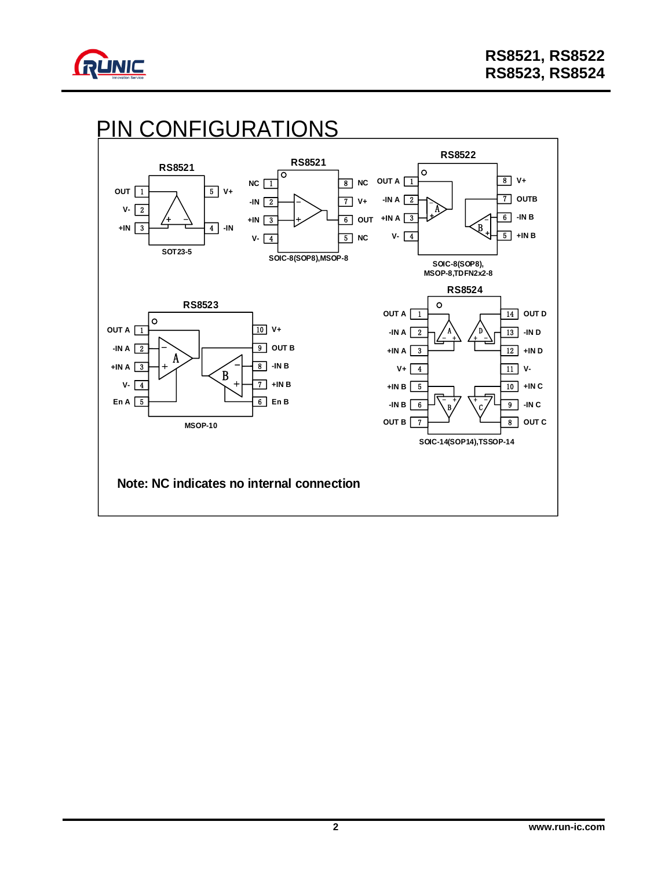

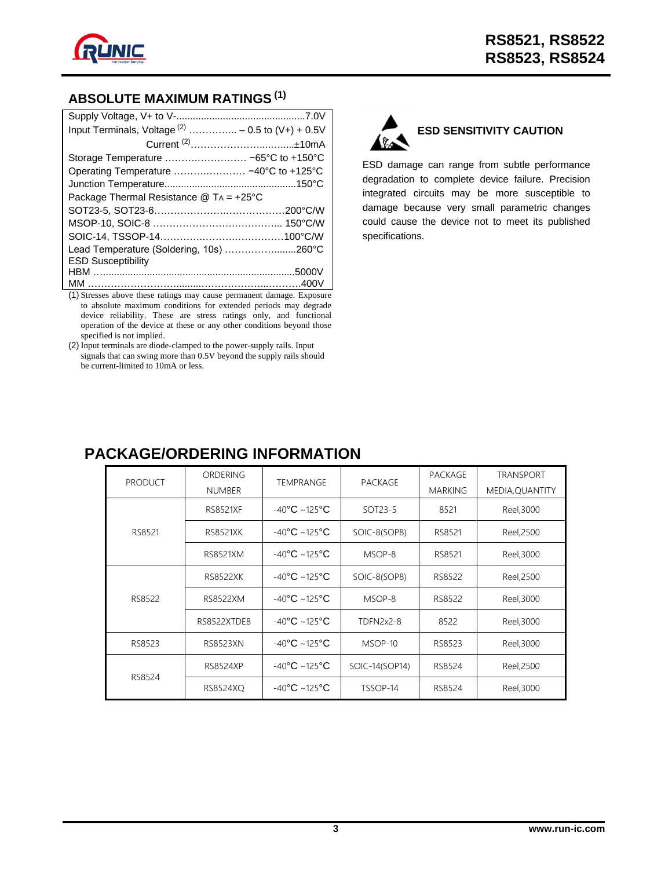

## **ABSOLUTE MAXIMUM RATINGS (1)**

| Input Terminals, Voltage $^{(2)}$ - 0.5 to (V+) + 0.5V |  |
|--------------------------------------------------------|--|
| Current <sup>(2)</sup> ±10mA                           |  |
|                                                        |  |
| Operating Temperature  -40°C to +125°C                 |  |
|                                                        |  |
| Package Thermal Resistance $@$ TA = +25°C              |  |
|                                                        |  |
|                                                        |  |
|                                                        |  |
| Lead Temperature (Soldering, 10s) 260°C                |  |
| <b>ESD Susceptibility</b>                              |  |
|                                                        |  |
|                                                        |  |

(1) Stresses above these ratings may cause permanent damage. Exposure to absolute maximum conditions for extended periods may degrade device reliability. These are stress ratings only, and functional operation of the device at these or any other conditions beyond those specified is not implied.



## **ESD SENSITIVITY CAUTION**

ESD damage can range from subtle performance degradation to complete device failure. Precision integrated circuits may be more susceptible to damage because very small parametric changes could cause the device not to meet its published specifications.

| <b>PRODUCT</b> | ORDERING<br><b>NUMBER</b> | TEMPRANGE              | PACKAGE        | PACKAGE<br><b>MARKING</b> | <b>TRANSPORT</b><br>MEDIA, QUANTITY |
|----------------|---------------------------|------------------------|----------------|---------------------------|-------------------------------------|
|                | <b>RS8521XF</b>           | $-40^{\circ}$ C ~125°C | SOT23-5        | 8521                      | Reel, 3000                          |
| RS8521         | <b>RS8521XK</b>           | $-40^{\circ}$ C ~125°C | SOIC-8(SOP8)   |                           | Reel, 2500                          |
|                | RS8521XM                  | $-40^{\circ}$ C ~125°C | MSOP-8         | RS8521                    | Reel, 3000                          |
| RS8522         | <b>RS8522XK</b>           | $-40^{\circ}$ C ~125°C | SOIC-8(SOP8)   | RS8522                    | Reel.2500                           |
|                | <b>RS8522XM</b>           | $-40^{\circ}$ C ~125°C | MSOP-8         | RS8522                    | Reel, 3000                          |
|                | RS8522XTDE8               | $-40^{\circ}$ C ~125°C | TDFN2x2-8      | 8522                      | Reel, 3000                          |
| RS8523         | <b>RS8523XN</b>           | $-40^{\circ}$ C ~125°C | MSOP-10        | RS8523                    | Reel, 3000                          |
|                | <b>RS8524XP</b>           | $-40^{\circ}$ C ~125°C | SOIC-14(SOP14) | RS8524                    | Reel, 2500                          |
| RS8524         | RS8524XO                  | $-40^{\circ}$ C ~125°C | TSSOP-14       | RS8524                    | Reel, 3000                          |

## **PACKAGE/ORDERING INFORMATION**

<sup>(2)</sup> Input terminals are diode-clamped to the power-supply rails. Input signals that can swing more than 0.5V beyond the supply rails should be current-limited to 10mA or less.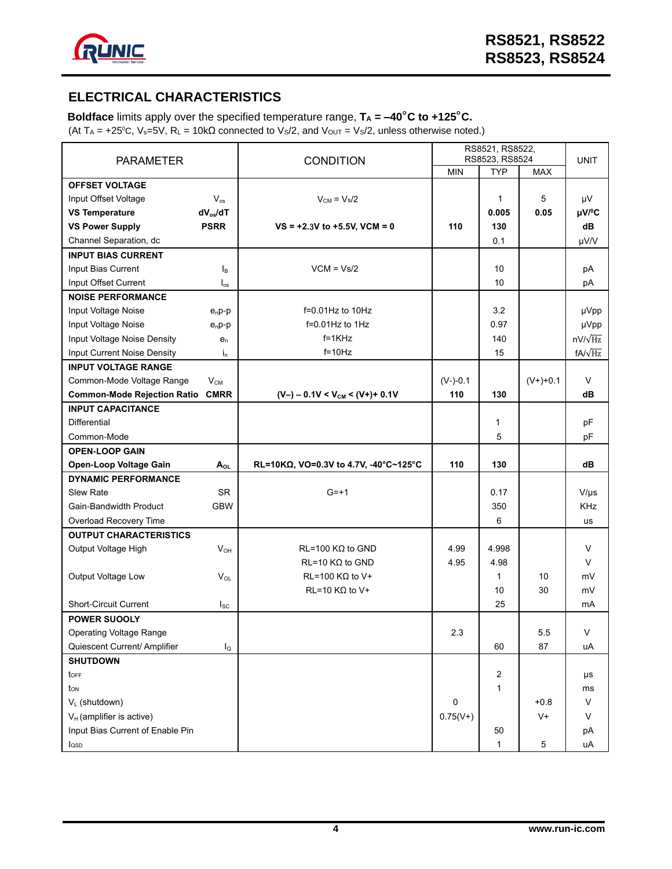

### **ELECTRICAL CHARACTERISTICS**

**Boldface** limits apply over the specified temperature range,  $T_A = -40^\circ C$  to  $+125^\circ C$ . (At T<sub>A</sub> = +25°C, V<sub>s</sub>=5V, R<sub>L</sub> = 10k $\Omega$  connected to Vs/2, and V<sub>OUT</sub> = Vs/2, unless otherwise noted.)

| <b>PARAMETER</b>                   |                            | <b>CONDITION</b>                         | RS8521, RS8522,<br>RS8523, RS8524 |              |              | <b>UNIT</b>             |  |
|------------------------------------|----------------------------|------------------------------------------|-----------------------------------|--------------|--------------|-------------------------|--|
|                                    |                            |                                          | <b>MIN</b>                        | <b>TYP</b>   | <b>MAX</b>   |                         |  |
| <b>OFFSET VOLTAGE</b>              |                            |                                          |                                   |              |              |                         |  |
| Input Offset Voltage               | $V_{os}$                   | $V_{CM} = V_s/2$                         |                                   | 1            | 5            | μV                      |  |
| <b>VS Temperature</b>              | $dV_{\rm os}/dT$           |                                          |                                   | 0.005        | 0.05         | $\mu$ V/ <sup>o</sup> C |  |
| <b>VS Power Supply</b>             | <b>PSRR</b>                | $VS = +2.3V$ to +5.5V, VCM = 0           | 110                               | 130          |              | dB                      |  |
| Channel Separation, dc             |                            |                                          |                                   | 0.1          |              | µV/V                    |  |
| <b>INPUT BIAS CURRENT</b>          |                            |                                          |                                   |              |              |                         |  |
| Input Bias Current                 | l <sub>B</sub>             | $VCM = Vs/2$                             |                                   | 10           |              | pA                      |  |
| Input Offset Current               | $\mathsf{I}_{\mathsf{os}}$ |                                          |                                   | 10           |              | pA                      |  |
| <b>NOISE PERFORMANCE</b>           |                            |                                          |                                   |              |              |                         |  |
| Input Voltage Noise                | $e_n p-p$                  | $f=0.01$ Hz to 10Hz                      |                                   | 3.2          |              | µVpp                    |  |
| Input Voltage Noise                | $e_n p-p$                  | $f=0.01$ Hz to 1Hz                       |                                   | 0.97         |              | µVpp                    |  |
| Input Voltage Noise Density        | $e_n$                      | $f = 1KHz$                               |                                   | 140          |              | $nV/\sqrt{Hz}$          |  |
| Input Current Noise Density        | $i_{n}$                    | $f=10Hz$                                 |                                   | 15           |              | $fA/\sqrt{Hz}$          |  |
| <b>INPUT VOLTAGE RANGE</b>         |                            |                                          |                                   |              |              |                         |  |
| Common-Mode Voltage Range          | $V_{CM}$                   |                                          | $(V-) -0.1$                       |              | $(V+) + 0.1$ | V                       |  |
| <b>Common-Mode Rejection Ratio</b> | <b>CMRR</b>                | $(V-)$ – 0.1V < $V_{CM}$ < $(V+)$ + 0.1V | 110                               | 130          |              | dВ                      |  |
| <b>INPUT CAPACITANCE</b>           |                            |                                          |                                   |              |              |                         |  |
| <b>Differential</b>                |                            |                                          |                                   | 1            |              | pF                      |  |
| Common-Mode                        |                            |                                          |                                   | 5            |              | pF                      |  |
| <b>OPEN-LOOP GAIN</b>              |                            |                                          |                                   |              |              |                         |  |
| Open-Loop Voltage Gain             | $A_{OL}$                   | RL=10KΩ, VO=0.3V to 4.7V, -40°C~125°C    | 110                               | 130          |              | dВ                      |  |
| <b>DYNAMIC PERFORMANCE</b>         |                            |                                          |                                   |              |              |                         |  |
| <b>Slew Rate</b>                   | <b>SR</b>                  | $G = +1$                                 |                                   | 0.17         |              | $V/\mu s$               |  |
| Gain-Bandwidth Product             | <b>GBW</b>                 |                                          |                                   | 350          |              | <b>KHz</b>              |  |
| Overload Recovery Time             |                            |                                          |                                   | 6            |              | us                      |  |
| <b>OUTPUT CHARACTERISTICS</b>      |                            |                                          |                                   |              |              |                         |  |
| Output Voltage High                | $V_{OH}$                   | $RL=100$ K $\Omega$ to GND               | 4.99                              | 4.998        |              | V                       |  |
|                                    |                            | $RL=10 K\Omega$ to GND                   | 4.95                              | 4.98         |              | V                       |  |
| Output Voltage Low                 | $V_{OL}$                   | $RL=100$ K $\Omega$ to V+                |                                   | $\mathbf{1}$ | 10           | mV                      |  |
|                                    |                            | $RL=10 K\Omega$ to V+                    |                                   | 10           | 30           | mV                      |  |
| <b>Short-Circuit Current</b>       | $I_{SC}$                   |                                          |                                   | 25           |              | mA                      |  |
| <b>POWER SUOOLY</b>                |                            |                                          |                                   |              |              |                         |  |
| Operating Voltage Range            |                            |                                          | 2.3                               |              | 5.5          | V                       |  |
| Quiescent Current/ Amplifier       | $I_{\mathsf{Q}}$           |                                          |                                   | 60           | 87           | uA                      |  |
| <b>SHUTDOWN</b>                    |                            |                                          |                                   |              |              |                         |  |
| toff                               |                            |                                          |                                   | 2            |              | μs                      |  |
| ton                                |                            |                                          |                                   | $\mathbf{1}$ |              | ms                      |  |
| VL (shutdown)                      |                            |                                          | 0                                 |              | $+0.8$       | V                       |  |
| $V_H$ (amplifier is active)        |                            |                                          | $0.75(V+)$                        |              | $V +$        | V                       |  |
| Input Bias Current of Enable Pin   |                            |                                          |                                   | 50           |              | pA                      |  |
| losp                               |                            |                                          |                                   | $\mathbf{1}$ | 5            | uA                      |  |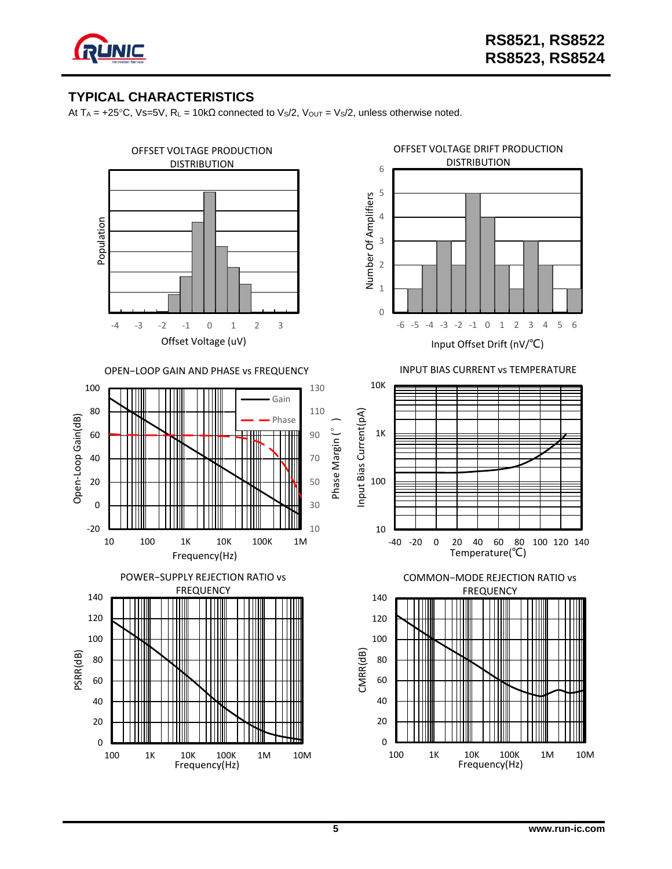

### **TYPICAL CHARACTERISTICS**

At T<sub>A</sub> = +25°C, Vs=5V, R<sub>L</sub> = 10k $\Omega$  connected to Vs/2, V<sub>OUT</sub> = Vs/2, unless otherwise noted.

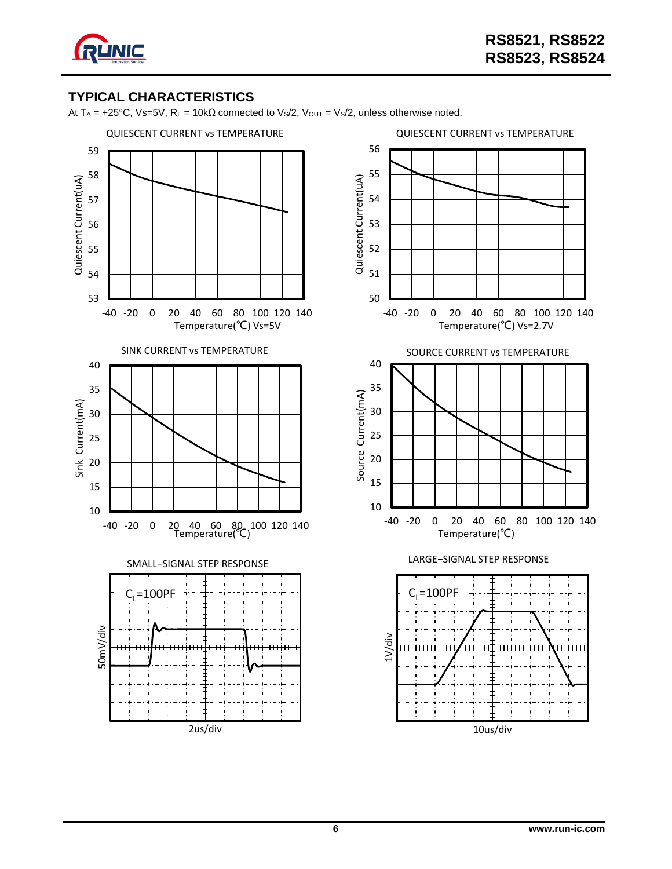

### **TYPICAL CHARACTERISTICS**

At T<sub>A</sub> = +25°C, Vs=5V, R<sub>L</sub> = 10k $\Omega$  connected to Vs/2, V<sub>OUT</sub> = Vs/2, unless otherwise noted.

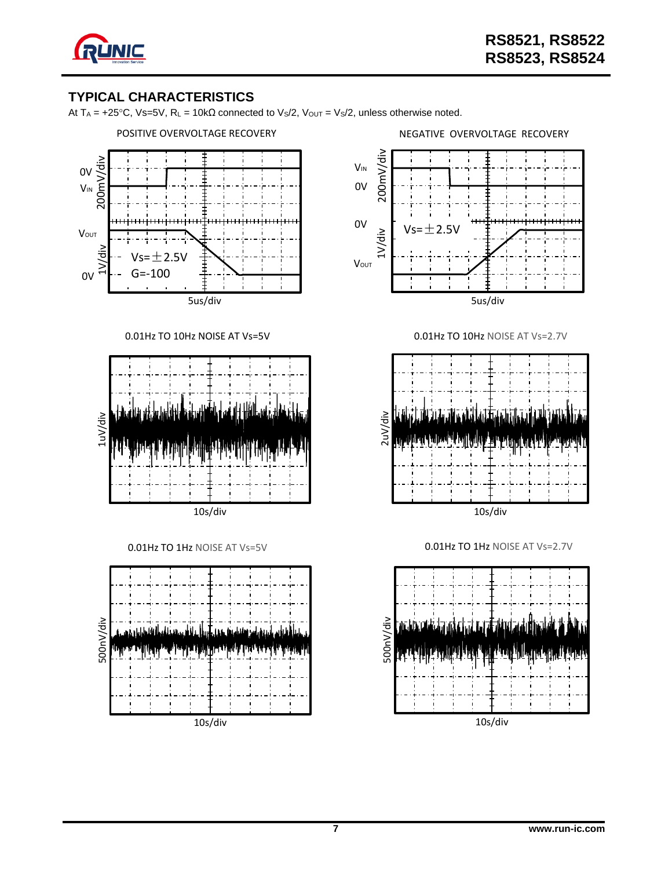

### **TYPICAL CHARACTERISTICS**

At T<sub>A</sub> = +25°C, Vs=5V, R<sub>L</sub> = 10k $\Omega$  connected to Vs/2, V<sub>OUT</sub> = Vs/2, unless otherwise noted.

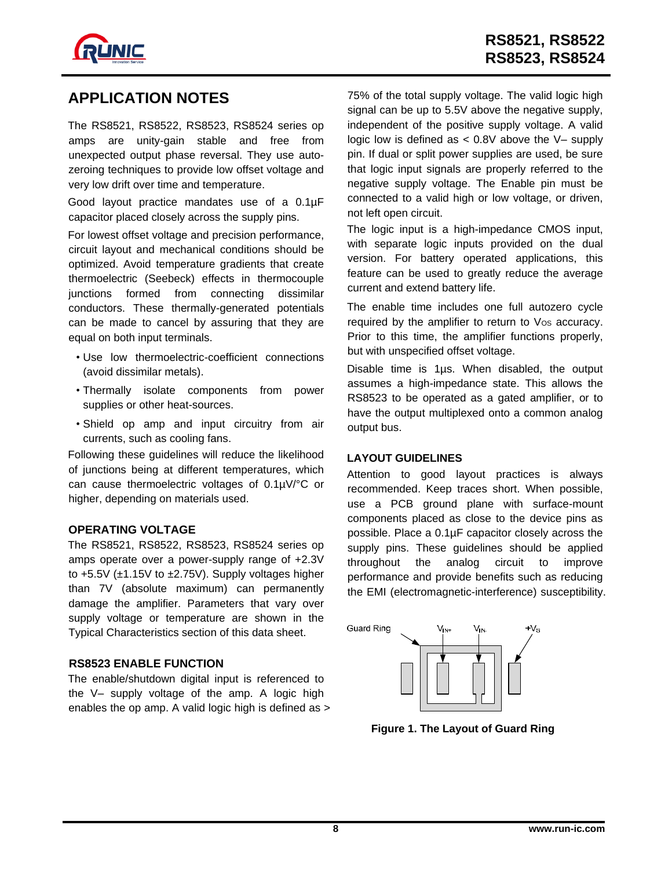

## **APPLICATION NOTES**

The RS8521, RS8522, RS8523, RS8524 series op amps are unity-gain stable and free from unexpected output phase reversal. They use autozeroing techniques to provide low offset voltage and very low drift over time and temperature.

Good layout practice mandates use of a 0.1µF capacitor placed closely across the supply pins.

For lowest offset voltage and precision performance, circuit layout and mechanical conditions should be optimized. Avoid temperature gradients that create thermoelectric (Seebeck) effects in thermocouple junctions formed from connecting dissimilar conductors. These thermally-generated potentials can be made to cancel by assuring that they are equal on both input terminals.

- Use low thermoelectric-coefficient connections (avoid dissimilar metals).
- Thermally isolate components from power supplies or other heat-sources.
- Shield op amp and input circuitry from air currents, such as cooling fans.

Following these guidelines will reduce the likelihood of junctions being at different temperatures, which can cause thermoelectric voltages of 0.1µV/°C or higher, depending on materials used.

#### **OPERATING VOLTAGE**

The RS8521, RS8522, RS8523, RS8524 series op amps operate over a power-supply range of +2.3V to  $+5.5V$  ( $\pm$ 1.15V to  $\pm$ 2.75V). Supply voltages higher than 7V (absolute maximum) can permanently damage the amplifier. Parameters that vary over supply voltage or temperature are shown in the Typical Characteristics section of this data sheet.

#### **RS8523 ENABLE FUNCTION**

The enable/shutdown digital input is referenced to the V– supply voltage of the amp. A logic high enables the op amp. A valid logic high is defined as >

75% of the total supply voltage. The valid logic high signal can be up to 5.5V above the negative supply, independent of the positive supply voltage. A valid logic low is defined as < 0.8V above the V– supply pin. If dual or split power supplies are used, be sure that logic input signals are properly referred to the negative supply voltage. The Enable pin must be connected to a valid high or low voltage, or driven, not left open circuit.

The logic input is a high-impedance CMOS input, with separate logic inputs provided on the dual version. For battery operated applications, this feature can be used to greatly reduce the average current and extend battery life.

The enable time includes one full autozero cycle required by the amplifier to return to  $V_{OS}$  accuracy. Prior to this time, the amplifier functions properly, but with unspecified offset voltage.

Disable time is 1µs. When disabled, the output assumes a high-impedance state. This allows the RS8523 to be operated as a gated amplifier, or to have the output multiplexed onto a common analog output bus.

#### **LAYOUT GUIDELINES**

Attention to good layout practices is always recommended. Keep traces short. When possible, use a PCB ground plane with surface-mount components placed as close to the device pins as possible. Place a 0.1µF capacitor closely across the supply pins. These guidelines should be applied throughout the analog circuit to improve performance and provide benefits such as reducing the EMI (electromagnetic-interference) susceptibility.



**Figure 1. The Layout of Guard Ring**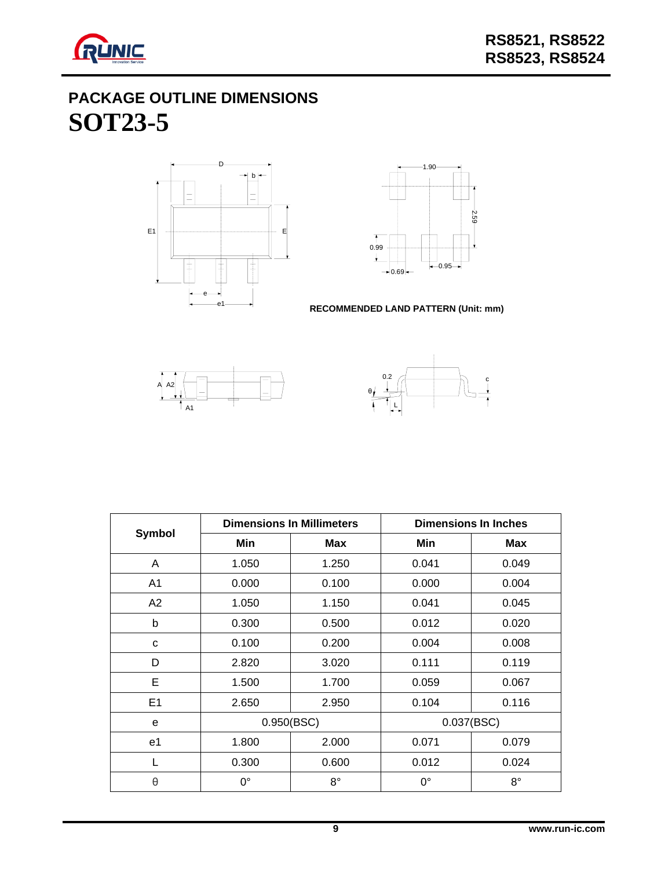

## **PACKAGE OUTLINE DIMENSIONS SOT23-5**









| Symbol |             | <b>Dimensions In Millimeters</b> |             | <b>Dimensions In Inches</b> |
|--------|-------------|----------------------------------|-------------|-----------------------------|
|        | Min         | Max                              | Min         | <b>Max</b>                  |
| A      | 1.050       | 1.250                            | 0.041       | 0.049                       |
| A1     | 0.000       | 0.100                            | 0.000       | 0.004                       |
| A2     | 1.050       | 1.150                            | 0.041       | 0.045                       |
| b      | 0.300       | 0.500                            | 0.012       | 0.020                       |
| C      | 0.100       | 0.200                            | 0.004       | 0.008                       |
| D      | 2.820       | 3.020                            | 0.111       | 0.119                       |
| E      | 1.500       | 1.700                            | 0.059       | 0.067                       |
| E1     | 2.650       | 2.950                            | 0.104       | 0.116                       |
| e      | 0.950(BSC)  |                                  |             | 0.037(BSC)                  |
| e1     | 1.800       | 2.000                            | 0.071       | 0.079                       |
|        | 0.300       | 0.600                            | 0.012       | 0.024                       |
| θ      | $0^{\circ}$ | $8^{\circ}$                      | $0^{\circ}$ | $8^{\circ}$                 |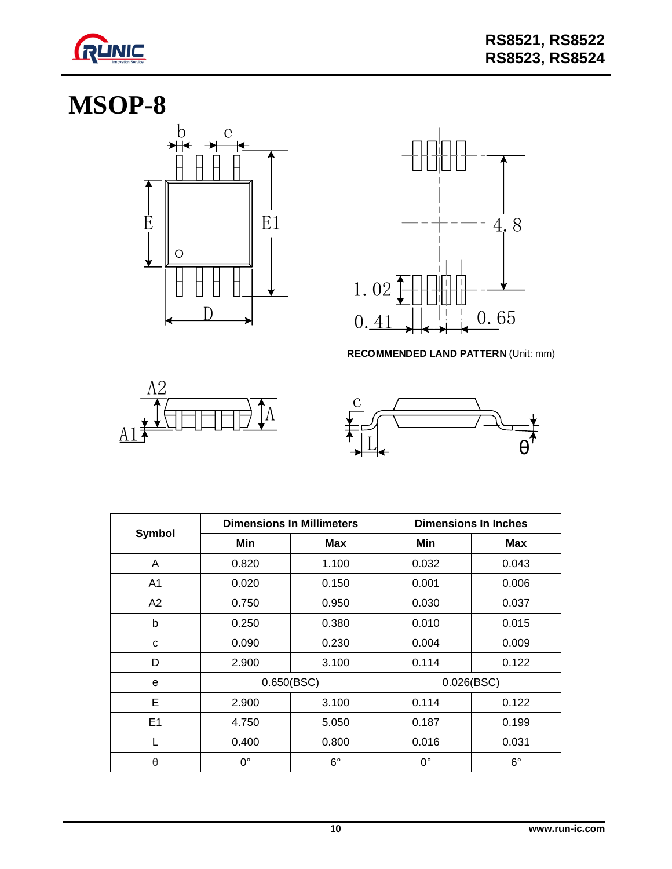

## **MSOP-8**









| Symbol |             | <b>Dimensions In Millimeters</b> |             | <b>Dimensions In Inches</b> |
|--------|-------------|----------------------------------|-------------|-----------------------------|
|        | Min         | Max                              | Min         | Max                         |
| A      | 0.820       | 1.100                            | 0.032       | 0.043                       |
| A1     | 0.020       | 0.150                            | 0.001       | 0.006                       |
| A2     | 0.750       | 0.950                            | 0.030       | 0.037                       |
| b      | 0.250       | 0.380                            | 0.010       | 0.015                       |
| C      | 0.090       | 0.230                            | 0.004       | 0.009                       |
| D      | 2.900       | 3.100                            | 0.114       | 0.122                       |
| e      | 0.650(BSC)  |                                  | 0.026(BSC)  |                             |
| E      | 2.900       | 3.100                            | 0.114       | 0.122                       |
| E1     | 4.750       | 5.050                            | 0.187       | 0.199                       |
|        | 0.400       | 0.800                            | 0.016       | 0.031                       |
| θ      | $0^{\circ}$ | $6^{\circ}$                      | $0^{\circ}$ | $6^{\circ}$                 |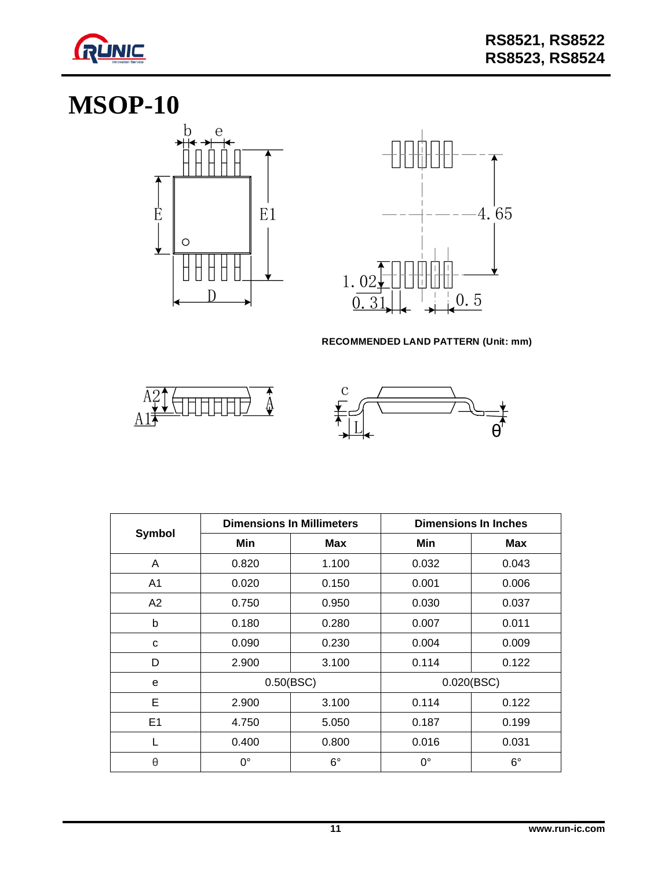

# **MSOP-10**









| Symbol         |             | <b>Dimensions In Millimeters</b> |             | <b>Dimensions In Inches</b> |
|----------------|-------------|----------------------------------|-------------|-----------------------------|
|                | Min         | Max                              | Min         | <b>Max</b>                  |
| A              | 0.820       | 1.100                            | 0.032       | 0.043                       |
| A <sub>1</sub> | 0.020       | 0.150                            | 0.001       | 0.006                       |
| A2             | 0.750       | 0.950                            | 0.030       | 0.037                       |
| b              | 0.180       | 0.280                            | 0.007       | 0.011                       |
| С              | 0.090       | 0.230                            | 0.004       | 0.009                       |
| D              | 2.900       | 3.100                            | 0.114       | 0.122                       |
| e              | 0.50(BSC)   |                                  | 0.020(BSC)  |                             |
| E.             | 2.900       | 3.100                            | 0.114       | 0.122                       |
| E1             | 4.750       | 5.050                            | 0.187       | 0.199                       |
|                | 0.400       | 0.800                            | 0.016       | 0.031                       |
| θ              | $0^{\circ}$ | $6^{\circ}$                      | $0^{\circ}$ | $6^{\circ}$                 |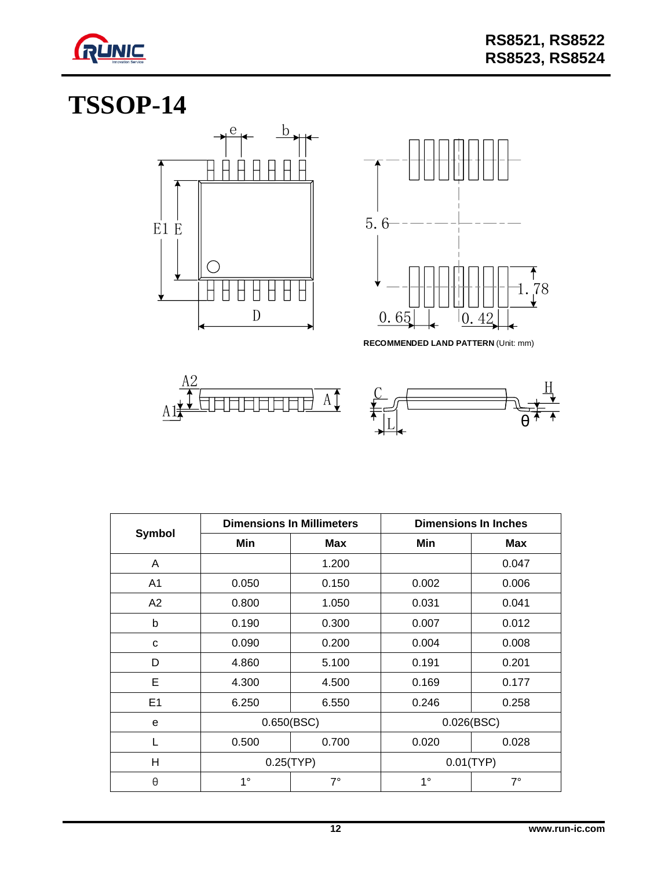

## **TSSOP-14**









|                |             | <b>Dimensions In Millimeters</b> |             | <b>Dimensions In Inches</b> |
|----------------|-------------|----------------------------------|-------------|-----------------------------|
| Symbol         | Min         | Max                              | Min         | <b>Max</b>                  |
| A              |             | 1.200                            |             | 0.047                       |
| A <sub>1</sub> | 0.050       | 0.150                            | 0.002       | 0.006                       |
| A <sub>2</sub> | 0.800       | 1.050                            | 0.031       | 0.041                       |
| b              | 0.190       | 0.300                            | 0.007       | 0.012                       |
| C              | 0.090       | 0.200                            | 0.004       | 0.008                       |
| D              | 4.860       | 5.100                            | 0.191       | 0.201                       |
| E.             | 4.300       | 4.500                            | 0.169       | 0.177                       |
| E1             | 6.250       | 6.550                            | 0.246       | 0.258                       |
| e              |             | 0.650(BSC)                       |             | 0.026(BSC)                  |
|                | 0.500       | 0.700                            | 0.020       | 0.028                       |
| Н              | 0.25(TYP)   |                                  | 0.01(TYP)   |                             |
| θ              | $1^{\circ}$ | $7^\circ$                        | $1^{\circ}$ | $7^\circ$                   |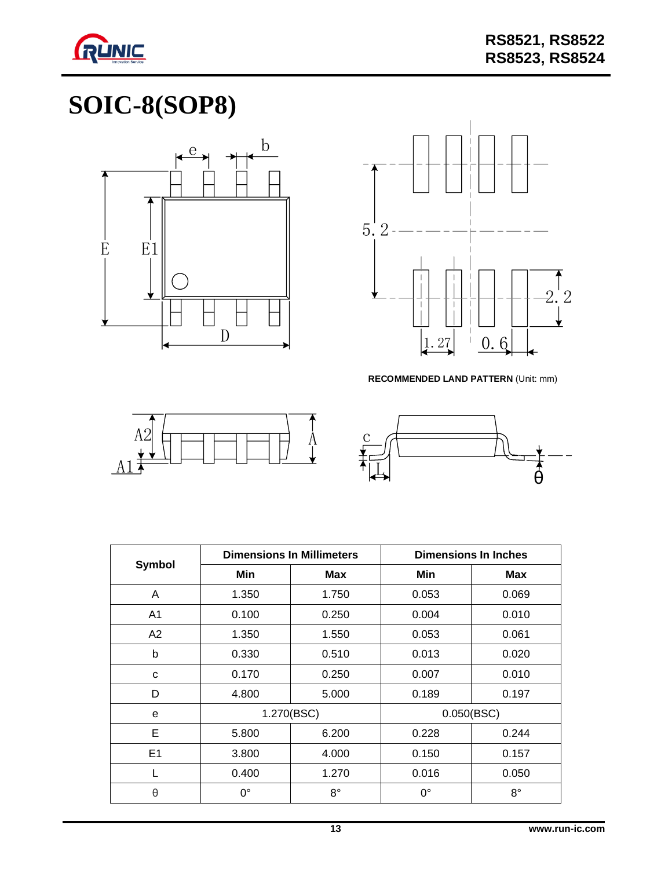

# **SOIC-8(SOP8)**









| Symbol         | <b>Dimensions In Millimeters</b> |             | <b>Dimensions In Inches</b> |             |
|----------------|----------------------------------|-------------|-----------------------------|-------------|
|                | Min                              | Max         | Min                         | Max         |
| A              | 1.350                            | 1.750       | 0.053                       | 0.069       |
| A <sub>1</sub> | 0.100                            | 0.250       | 0.004                       | 0.010       |
| A2             | 1.350                            | 1.550       | 0.053                       | 0.061       |
| b              | 0.330                            | 0.510       | 0.013                       | 0.020       |
| C              | 0.170                            | 0.250       | 0.007                       | 0.010       |
| D              | 4.800                            | 5.000       | 0.189                       | 0.197       |
| e              |                                  | 1.270(BSC)  | 0.050(BSC)                  |             |
| E              | 5.800                            | 6.200       | 0.228                       | 0.244       |
| E1             | 3.800                            | 4.000       | 0.150                       | 0.157       |
| L              | 0.400                            | 1.270       | 0.016                       | 0.050       |
| θ              | $0^{\circ}$                      | $8^{\circ}$ | $0^{\circ}$                 | $8^{\circ}$ |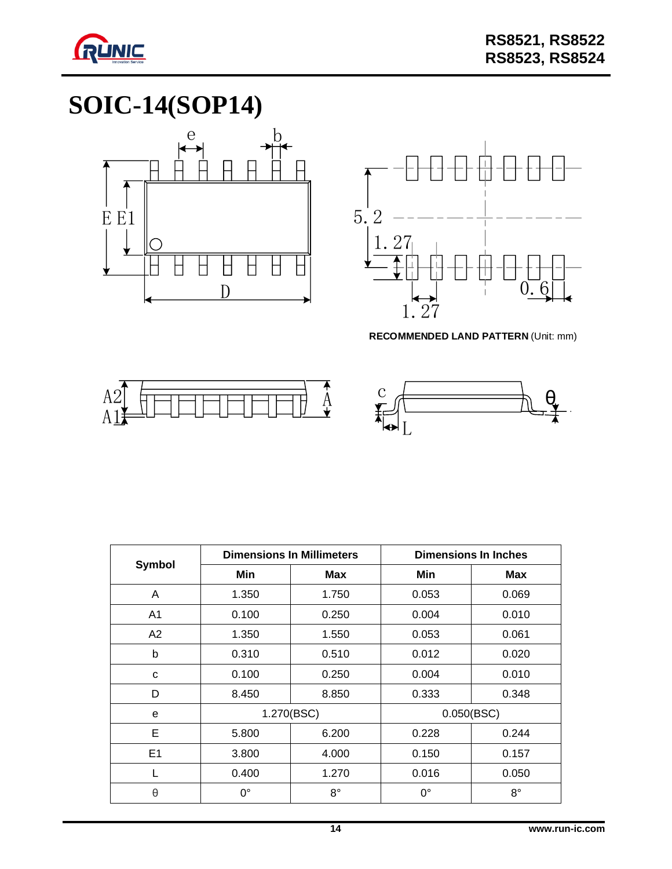

# **SOIC-14(SOP14)**









| Symbol         |             | <b>Dimensions In Millimeters</b> |             | <b>Dimensions In Inches</b> |
|----------------|-------------|----------------------------------|-------------|-----------------------------|
|                | Min         | <b>Max</b>                       | Min         | Max                         |
| A              | 1.350       | 1.750                            | 0.053       | 0.069                       |
| A <sub>1</sub> | 0.100       | 0.250                            | 0.004       | 0.010                       |
| A <sub>2</sub> | 1.350       | 1.550                            | 0.053       | 0.061                       |
| b              | 0.310       | 0.510                            | 0.012       | 0.020                       |
| C              | 0.100       | 0.250                            | 0.004       | 0.010                       |
| D              | 8.450       | 8.850                            | 0.333       | 0.348                       |
| e              |             | 1.270(BSC)                       | 0.050(BSC)  |                             |
| E              | 5.800       | 6.200                            | 0.228       | 0.244                       |
| E <sub>1</sub> | 3.800       | 4.000                            | 0.150       | 0.157                       |
|                | 0.400       | 1.270                            | 0.016       | 0.050                       |
| θ              | $0^{\circ}$ | $8^{\circ}$                      | $0^{\circ}$ | $8^{\circ}$                 |